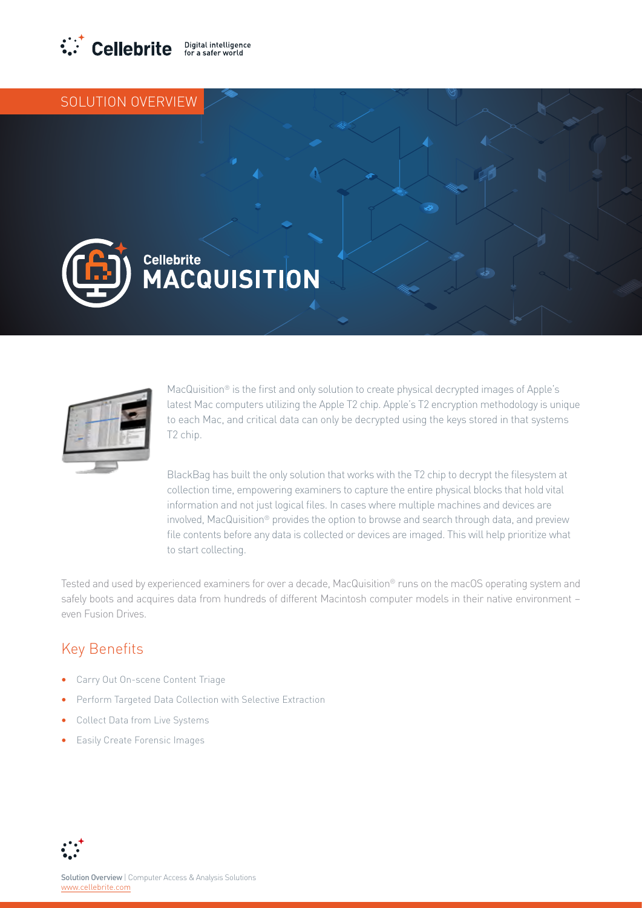

## SOLUTION OVERVIEW





MacQuisition® is the first and only solution to create physical decrypted images of Apple's latest Mac computers utilizing the Apple T2 chip. Apple's T2 encryption methodology is unique to each Mac, and critical data can only be decrypted using the keys stored in that systems T2 chip.

BlackBag has built the only solution that works with the T2 chip to decrypt the filesystem at collection time, empowering examiners to capture the entire physical blocks that hold vital information and not just logical files. In cases where multiple machines and devices are involved, MacQuisition® provides the option to browse and search through data, and preview file contents before any data is collected or devices are imaged. This will help prioritize what to start collecting.

Tested and used by experienced examiners for over a decade, MacQuisition® runs on the macOS operating system and safely boots and acquires data from hundreds of different Macintosh computer models in their native environment – even Fusion Drives.

## Key Benefits

- **•** Carry Out On-scene Content Triage
- **•** Perform Targeted Data Collection with Selective Extraction
- **•** Collect Data from Live Systems
- **•** Easily Create Forensic Images